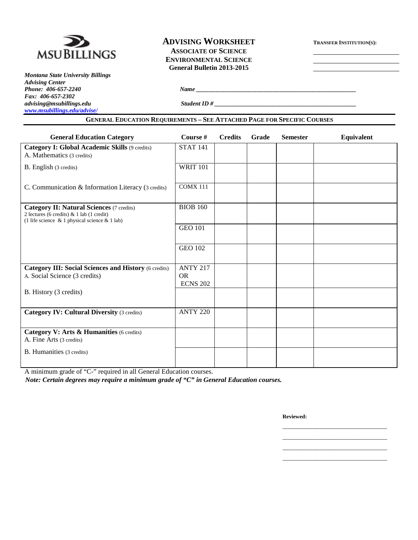

*Montana State University Billings Advising Center Fax: 406-657-2302 [www.msubillings.edu/advise/](http://www.msubillings.edu/advise/)*

# **ADVISING WORKSHEET TRANSFER INSTITUTION(S): ASSOCIATE OF SCIENCE**

**ENVIRONMENTAL SCIENCE General Bulletin 2013-2015**

*advising@msubillings.edu Student ID # \_\_\_\_\_\_\_\_\_\_\_\_\_\_\_\_\_\_\_\_\_\_\_\_\_\_\_\_\_\_\_\_\_\_\_\_\_\_\_\_\_\_\_\_\_\_*

*Phone: 406-657-2240 Name \_\_\_\_\_\_\_\_\_\_\_\_\_\_\_\_\_\_\_\_\_\_\_\_\_\_\_\_\_\_\_\_\_\_\_\_\_\_\_\_\_\_\_\_\_\_\_\_\_\_\_\_*

#### **GENERAL EDUCATION REQUIREMENTS – SEE ATTACHED PAGE FOR SPECIFIC COURSES**

| <b>General Education Category</b>                                                                                                                    | Course #                                  | <b>Credits</b> | Grade | <b>Semester</b> | Equivalent |
|------------------------------------------------------------------------------------------------------------------------------------------------------|-------------------------------------------|----------------|-------|-----------------|------------|
| Category I: Global Academic Skills (9 credits)<br>A. Mathematics (3 credits)                                                                         | <b>STAT 141</b>                           |                |       |                 |            |
| B. English (3 credits)                                                                                                                               | <b>WRIT 101</b>                           |                |       |                 |            |
| C. Communication & Information Literacy (3 credits)                                                                                                  | <b>COMX 111</b>                           |                |       |                 |            |
| <b>Category II: Natural Sciences (7 credits)</b><br>2 lectures (6 credits) & 1 lab (1 credit)<br>(1 life science $\&$ 1 physical science $\&$ 1 lab) | <b>BIOB 160</b>                           |                |       |                 |            |
|                                                                                                                                                      | <b>GEO 101</b>                            |                |       |                 |            |
|                                                                                                                                                      | <b>GEO 102</b>                            |                |       |                 |            |
| <b>Category III: Social Sciences and History (6 credits)</b><br>A. Social Science (3 credits)                                                        | <b>ANTY 217</b><br>OR.<br><b>ECNS 202</b> |                |       |                 |            |
| B. History (3 credits)                                                                                                                               |                                           |                |       |                 |            |
| <b>Category IV: Cultural Diversity (3 credits)</b>                                                                                                   | <b>ANTY 220</b>                           |                |       |                 |            |
| Category V: Arts & Humanities (6 credits)<br>A. Fine Arts (3 credits)                                                                                |                                           |                |       |                 |            |
| B. Humanities (3 credits)                                                                                                                            |                                           |                |       |                 |            |

A minimum grade of "C-" required in all General Education courses.

*Note: Certain degrees may require a minimum grade of "C" in General Education courses.*

**Reviewed:**

\_\_\_\_\_\_\_\_\_\_\_\_\_\_\_\_\_\_\_\_\_\_\_\_\_\_\_\_\_\_\_\_\_\_ \_\_\_\_\_\_\_\_\_\_\_\_\_\_\_\_\_\_\_\_\_\_\_\_\_\_\_\_\_\_\_\_\_\_ \_\_\_\_\_\_\_\_\_\_\_\_\_\_\_\_\_\_\_\_\_\_\_\_\_\_\_\_\_\_\_\_\_\_ \_\_\_\_\_\_\_\_\_\_\_\_\_\_\_\_\_\_\_\_\_\_\_\_\_\_\_\_\_\_\_\_\_\_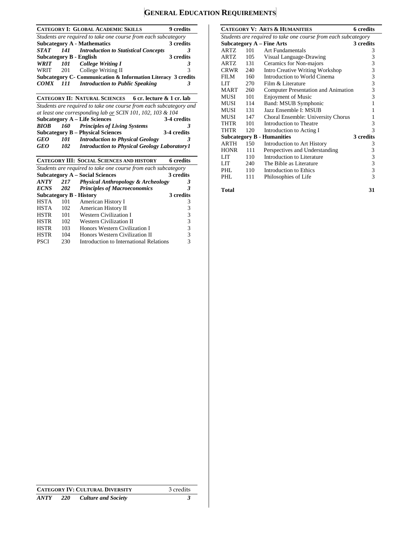## **GENERAL EDUCATION REQUIREMENTS**

|             |     | <b>CATEGORY I: GLOBAL ACADEMIC SKILLS</b>                      | 9 credits |
|-------------|-----|----------------------------------------------------------------|-----------|
|             |     | Students are required to take one course from each subcategory |           |
|             |     | <b>Subcategory A - Mathematics</b>                             | 3 credits |
| <i>STAT</i> |     | 141 Introduction to Statistical Concepts                       | 3         |
|             |     | <b>Subcategory B - English</b>                                 | 3 credits |
| WRIT        |     | 101 College Writing I                                          |           |
| WRIT        | 201 | College Writing II                                             | 3         |
|             |     | Subcategory C- Communication & Information Literacy 3 credits  |           |
|             |     | <b>COMX</b> 111 Introduction to Public Speaking                |           |

|      |     | <b>CATEGORY II: NATURAL SCIENCES</b>                               | 6 cr. lecture & 1 cr. lab |             |
|------|-----|--------------------------------------------------------------------|---------------------------|-------------|
|      |     | Students are required to take one course from each subcategory and |                           |             |
|      |     | at least one corresponding lab or SCIN 101, 102, 103 & 104         |                           |             |
|      |     | <b>Subcategory A – Life Sciences</b>                               |                           | 3-4 credits |
| BIOB |     | 160 Principles of Living Systems                                   |                           | 3           |
|      |     | <b>Subcategory B – Physical Sciences</b>                           |                           | 3-4 credits |
| GEO  | 101 | <b>Introduction to Physical Geology</b>                            |                           |             |
| GEO  | 102 | <b>Introduction to Physical Geology Laboratory 1</b>               |                           |             |

|             |                                                                | <b>CATEGORY III: SOCIAL SCIENCES AND HISTORY</b> | 6 credits |  |  |
|-------------|----------------------------------------------------------------|--------------------------------------------------|-----------|--|--|
|             | Students are required to take one course from each subcategory |                                                  |           |  |  |
|             |                                                                | <b>Subcategory A – Social Sciences</b>           | 3 credits |  |  |
| ANTY        | 217                                                            | <b>Physical Anthropology &amp; Archeology</b>    | 3         |  |  |
| <b>ECNS</b> | <b>202</b>                                                     | <b>Principles of Macroeconomics</b>              | 3         |  |  |
|             |                                                                | <b>Subcategory B - History</b>                   | 3 credits |  |  |
| <b>HSTA</b> | 101                                                            | American History I                               | 3         |  |  |
| <b>HSTA</b> | 102                                                            | American History II                              | 3         |  |  |
| <b>HSTR</b> | 101                                                            | <b>Western Civilization I</b>                    | 3         |  |  |
| <b>HSTR</b> | 102                                                            | <b>Western Civilization II</b>                   | 3         |  |  |
| <b>HSTR</b> | 103                                                            | Honors Western Civilization I                    | 3         |  |  |
| <b>HSTR</b> | 104                                                            | Honors Western Civilization II                   | 3         |  |  |
| <b>PSCI</b> | 230                                                            | Introduction to International Relations          |           |  |  |

|             |                                                                | <b>CATEGORY V: ARTS &amp; HUMANITIES</b> | <b>6</b> credits                                |  |
|-------------|----------------------------------------------------------------|------------------------------------------|-------------------------------------------------|--|
|             | Students are required to take one course from each subcategory |                                          |                                                 |  |
|             |                                                                | Subcategory $A$ – Fine Arts              | 3 credits                                       |  |
| ARTZ        | 101                                                            | Art Fundamentals                         | 3                                               |  |
| ARTZ        | 105                                                            | Visual Language-Drawing                  | 3                                               |  |
| ARTZ        | 131                                                            | Ceramics for Non-majors                  | 3                                               |  |
| CRWR        | 240                                                            | <b>Intro Creative Writing Workshop</b>   | 3                                               |  |
| FILM        | 160                                                            | Introduction to World Cinema             | $\begin{array}{c} 3 \\ 3 \\ 3 \end{array}$      |  |
| LIT         | 270                                                            | Film & Literature                        |                                                 |  |
| <b>MART</b> | 260                                                            | Computer Presentation and Animation      |                                                 |  |
| MUSI        | 101                                                            | <b>Enjoyment of Music</b>                | $\overline{3}$                                  |  |
| MUSI        | 114                                                            | Band: MSUB Symphonic                     | 1                                               |  |
| MUSI        | 131                                                            | Jazz Ensemble I: MSUB                    | 1                                               |  |
| MUSI        | 147                                                            | Choral Ensemble: University Chorus       | 1                                               |  |
| THTR        | 101                                                            | Introduction to Theatre                  | 3                                               |  |
| THTR        | 120                                                            | Introduction to Acting I                 | $\overline{\mathcal{E}}$                        |  |
|             |                                                                | <b>Subcategory B - Humanities</b>        | 3 credits                                       |  |
| <b>ARTH</b> | 150                                                            | Introduction to Art History              | 3                                               |  |
| <b>HONR</b> | 111                                                            | Perspectives and Understanding           |                                                 |  |
| LIT         | 110                                                            | Introduction to Literature               |                                                 |  |
| LIT         | 240                                                            | The Bible as Literature                  |                                                 |  |
| PHL.        | 110                                                            | Introduction to Ethics                   | $\begin{array}{c} 3 \\ 3 \\ 3 \\ 3 \end{array}$ |  |
| PHL         | 111                                                            | Philosophies of Life                     |                                                 |  |
| Total       |                                                                |                                          | 31                                              |  |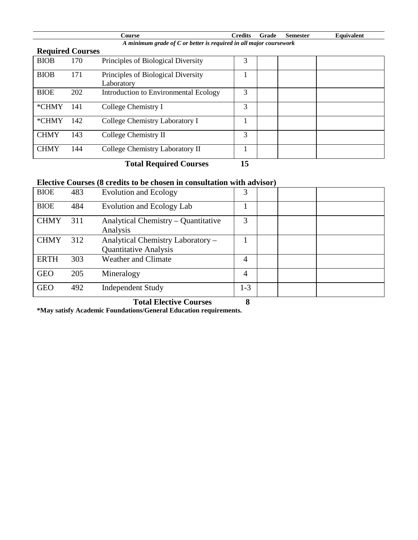| Course                                                               | Credits Grade | Semester | <b>Equivalent</b> |
|----------------------------------------------------------------------|---------------|----------|-------------------|
| A minimum grade of $C$ or better is required in all major coursework |               |          |                   |
|                                                                      |               |          |                   |

| <b>Required Courses</b> |     |                                                  |    |  |
|-------------------------|-----|--------------------------------------------------|----|--|
| <b>BIOB</b>             | 170 | Principles of Biological Diversity               | 3  |  |
| <b>BIOB</b>             | 171 | Principles of Biological Diversity<br>Laboratory |    |  |
| <b>BIOE</b>             | 202 | Introduction to Environmental Ecology            | 3  |  |
| *CHMY                   | 141 | College Chemistry I                              | 3  |  |
| *CHMY                   | 142 | College Chemistry Laboratory I                   |    |  |
| <b>CHMY</b>             | 143 | College Chemistry II                             | 3  |  |
| <b>CHMY</b>             | 144 | College Chemistry Laboratory II                  |    |  |
|                         |     | <b>Total Required Courses</b>                    | 15 |  |

### **Elective Courses (8 credits to be chosen in consultation with advisor)**

| <b>BIOE</b> | 483 | <b>Evolution and Ecology</b>        | 3       |  |  |
|-------------|-----|-------------------------------------|---------|--|--|
| <b>BIOE</b> | 484 | Evolution and Ecology Lab           |         |  |  |
| <b>CHMY</b> | 311 | Analytical Chemistry – Quantitative | 3       |  |  |
|             |     | Analysis                            |         |  |  |
| <b>CHMY</b> | 312 | Analytical Chemistry Laboratory -   |         |  |  |
|             |     | <b>Quantitative Analysis</b>        |         |  |  |
| <b>ERTH</b> | 303 | <b>Weather and Climate</b>          | 4       |  |  |
| <b>GEO</b>  | 205 | Mineralogy                          | 4       |  |  |
| <b>GEO</b>  | 492 | <b>Independent Study</b>            | $1 - 3$ |  |  |

 **Total Elective Courses 8**

**\*May satisfy Academic Foundations/General Education requirements.**